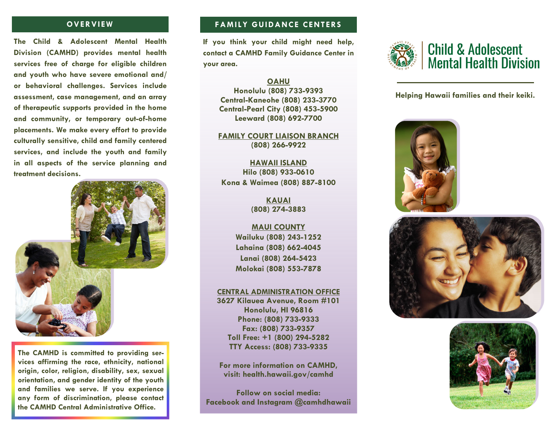### **OVERVIEW**

**The Child & Adolescent Mental Health Division (CAMHD) provides mental health services free of charge for eligible children and youth who have severe emotional and/ or behavioral challenges. Services include assessment, case management, and an array of therapeutic supports provided in the home and community, or temporary out-of-home placements. We make every effort to provide culturally sensitive, child and family centered services, and include the youth and family in all aspects of the service planning and treatment decisions.** 



**The CAMHD is committed to providing services affirming the race, ethnicity, national origin, color, religion, disability, sex, sexual orientation, and gender identity of the youth and families we serve. If you experience any form of discrimination, please contact the CAMHD Central Administrative Office.** 

## **FAMILY GUIDANCE CENTERS**

**If you think your child might need help, contact a CAMHD Family Guidance Center in your area.**

#### **OAHU**

**Honolulu (808) 733-9393 Central-Kaneohe (808) 233-3770 Central-Pearl City (808) 453-5900 Leeward (808) 692-7700** 

**FAMILY COURT LIAISON BRANCH (808) 266-9922** 

**HAWAII ISLAND Hilo (808) 933-0610 Kona & Waimea (808) 887-8100** 

> **KAUAI (808) 274-3883**

**MAUI COUNTY Wailuku (808) 243-1252 Lahaina (808) 662-4045 Lanai (808) 264-5423 Molokai (808) 553-7878** 

#### **CENTRAL ADMINISTRATION OFFICE**

**3627 Kilauea Avenue, Room #101 Honolulu, HI 96816 Phone: (808) 733-9333 Fax: (808) 733-9357 Toll Free: +1 (800) 294-5282 TTY Access: (808) 733-9335** 

**For more information on CAMHD, visit: health.hawaii.gov/camhd** 

**Follow on social media: Facebook and Instagram @camhdhawaii** 



**Helping Hawaii families and their keiki.**